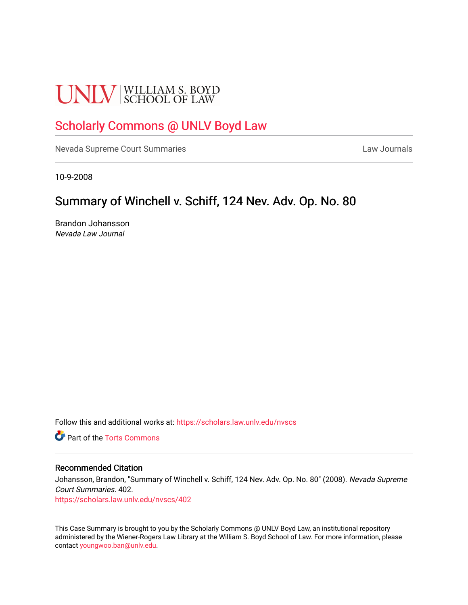# **UNLV** SCHOOL OF LAW

## [Scholarly Commons @ UNLV Boyd Law](https://scholars.law.unlv.edu/)

[Nevada Supreme Court Summaries](https://scholars.law.unlv.edu/nvscs) **Law Journals** Law Journals

10-9-2008

# Summary of Winchell v. Schiff, 124 Nev. Adv. Op. No. 80

Brandon Johansson Nevada Law Journal

Follow this and additional works at: [https://scholars.law.unlv.edu/nvscs](https://scholars.law.unlv.edu/nvscs?utm_source=scholars.law.unlv.edu%2Fnvscs%2F402&utm_medium=PDF&utm_campaign=PDFCoverPages)

**C** Part of the [Torts Commons](http://network.bepress.com/hgg/discipline/913?utm_source=scholars.law.unlv.edu%2Fnvscs%2F402&utm_medium=PDF&utm_campaign=PDFCoverPages)

#### Recommended Citation

Johansson, Brandon, "Summary of Winchell v. Schiff, 124 Nev. Adv. Op. No. 80" (2008). Nevada Supreme Court Summaries. 402.

[https://scholars.law.unlv.edu/nvscs/402](https://scholars.law.unlv.edu/nvscs/402?utm_source=scholars.law.unlv.edu%2Fnvscs%2F402&utm_medium=PDF&utm_campaign=PDFCoverPages)

This Case Summary is brought to you by the Scholarly Commons @ UNLV Boyd Law, an institutional repository administered by the Wiener-Rogers Law Library at the William S. Boyd School of Law. For more information, please contact [youngwoo.ban@unlv.edu](mailto:youngwoo.ban@unlv.edu).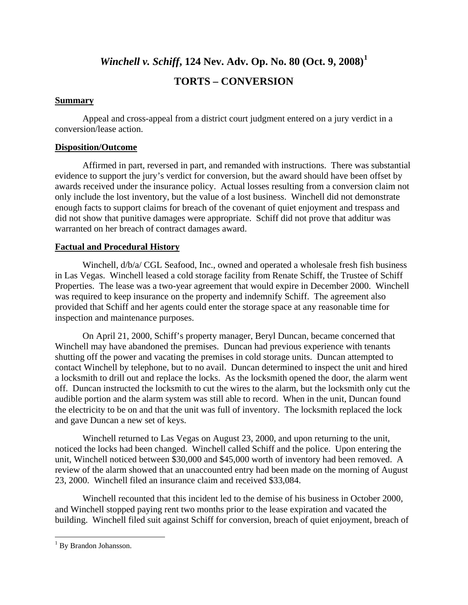## *Winchell v. Schiff***, 124 Nev. Adv. Op. No. 80 (Oct. 9, 2008)[1](#page-1-0)**

### **TORTS – CONVERSION**

#### **Summary**

 Appeal and cross-appeal from a district court judgment entered on a jury verdict in a conversion/lease action.

#### **Disposition/Outcome**

 Affirmed in part, reversed in part, and remanded with instructions. There was substantial evidence to support the jury's verdict for conversion, but the award should have been offset by awards received under the insurance policy. Actual losses resulting from a conversion claim not only include the lost inventory, but the value of a lost business. Winchell did not demonstrate enough facts to support claims for breach of the covenant of quiet enjoyment and trespass and did not show that punitive damages were appropriate. Schiff did not prove that additur was warranted on her breach of contract damages award.

#### **Factual and Procedural History**

Winchell,  $d/b/a$  CGL Seafood, Inc., owned and operated a wholesale fresh fish business in Las Vegas. Winchell leased a cold storage facility from Renate Schiff, the Trustee of Schiff Properties. The lease was a two-year agreement that would expire in December 2000. Winchell was required to keep insurance on the property and indemnify Schiff. The agreement also provided that Schiff and her agents could enter the storage space at any reasonable time for inspection and maintenance purposes.

 On April 21, 2000, Schiff's property manager, Beryl Duncan, became concerned that Winchell may have abandoned the premises. Duncan had previous experience with tenants shutting off the power and vacating the premises in cold storage units. Duncan attempted to contact Winchell by telephone, but to no avail. Duncan determined to inspect the unit and hired a locksmith to drill out and replace the locks. As the locksmith opened the door, the alarm went off. Duncan instructed the locksmith to cut the wires to the alarm, but the locksmith only cut the audible portion and the alarm system was still able to record. When in the unit, Duncan found the electricity to be on and that the unit was full of inventory. The locksmith replaced the lock and gave Duncan a new set of keys.

 Winchell returned to Las Vegas on August 23, 2000, and upon returning to the unit, noticed the locks had been changed. Winchell called Schiff and the police. Upon entering the unit, Winchell noticed between \$30,000 and \$45,000 worth of inventory had been removed. A review of the alarm showed that an unaccounted entry had been made on the morning of August 23, 2000. Winchell filed an insurance claim and received \$33,084.

 Winchell recounted that this incident led to the demise of his business in October 2000, and Winchell stopped paying rent two months prior to the lease expiration and vacated the building. Winchell filed suit against Schiff for conversion, breach of quiet enjoyment, breach of

 $\overline{a}$ 

<span id="page-1-0"></span><sup>&</sup>lt;sup>1</sup> By Brandon Johansson.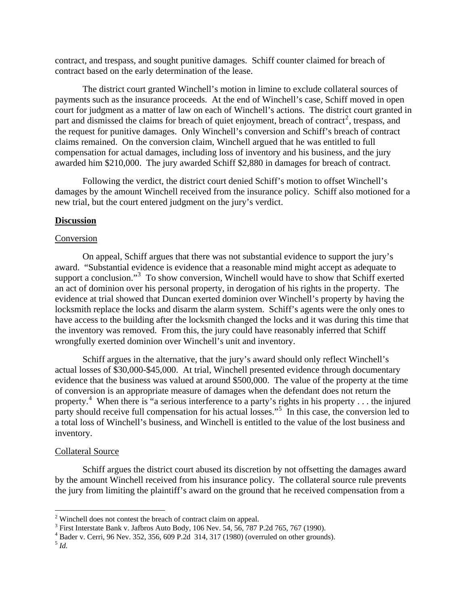contract, and trespass, and sought punitive damages. Schiff counter claimed for breach of contract based on the early determination of the lease.

 The district court granted Winchell's motion in limine to exclude collateral sources of payments such as the insurance proceeds. At the end of Winchell's case, Schiff moved in open court for judgment as a matter of law on each of Winchell's actions. The district court granted in part and dismissed the claims for breach of quiet enjoyment, breach of contract<sup>[2](#page-2-0)</sup>, trespass, and the request for punitive damages. Only Winchell's conversion and Schiff's breach of contract claims remained. On the conversion claim, Winchell argued that he was entitled to full compensation for actual damages, including loss of inventory and his business, and the jury awarded him \$210,000. The jury awarded Schiff \$2,880 in damages for breach of contract.

 Following the verdict, the district court denied Schiff's motion to offset Winchell's damages by the amount Winchell received from the insurance policy. Schiff also motioned for a new trial, but the court entered judgment on the jury's verdict.

#### **Discussion**

#### **Conversion**

 On appeal, Schiff argues that there was not substantial evidence to support the jury's award. "Substantial evidence is evidence that a reasonable mind might accept as adequate to support a conclusion."<sup>[3](#page-2-1)</sup> To show conversion, Winchell would have to show that Schiff exerted an act of dominion over his personal property, in derogation of his rights in the property. The evidence at trial showed that Duncan exerted dominion over Winchell's property by having the locksmith replace the locks and disarm the alarm system. Schiff's agents were the only ones to have access to the building after the locksmith changed the locks and it was during this time that the inventory was removed. From this, the jury could have reasonably inferred that Schiff wrongfully exerted dominion over Winchell's unit and inventory.

 Schiff argues in the alternative, that the jury's award should only reflect Winchell's actual losses of \$30,000-\$45,000. At trial, Winchell presented evidence through documentary evidence that the business was valued at around \$500,000. The value of the property at the time of conversion is an appropriate measure of damages when the defendant does not return the property.<sup>[4](#page-2-2)</sup> When there is "a serious interference to a party's rights in his property . . . the injured party should receive full compensation for his actual losses."<sup>[5](#page-2-3)</sup> In this case, the conversion led to a total loss of Winchell's business, and Winchell is entitled to the value of the lost business and inventory.

#### Collateral Source

 Schiff argues the district court abused its discretion by not offsetting the damages award by the amount Winchell received from his insurance policy. The collateral source rule prevents the jury from limiting the plaintiff's award on the ground that he received compensation from a

 $\overline{a}$ 

<span id="page-2-0"></span><sup>&</sup>lt;sup>2</sup> Winchell does not contest the breach of contract claim on appeal.<br><sup>3</sup> First Interstate Bank v. Jathros, Auto Body, 106 Nov. 54, 56, 787 I

<span id="page-2-1"></span> $3$  First Interstate Bank v. Jafbros Auto Body, 106 Nev. 54, 56, 787 P.2d 765, 767 (1990).

<sup>4</sup> Bader v. Cerri, 96 Nev. 352, 356, 609 P.2d 314, 317 (1980) (overruled on other grounds).

<span id="page-2-3"></span><span id="page-2-2"></span><sup>5</sup> *Id.*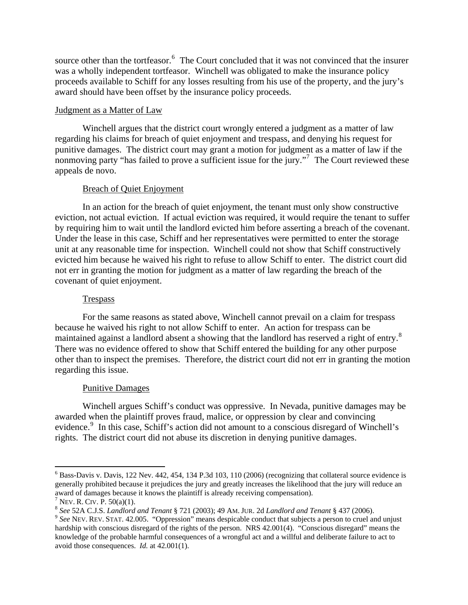source other than the tortfeasor.<sup>[6](#page-3-0)</sup> The Court concluded that it was not convinced that the insurer was a wholly independent tortfeasor. Winchell was obligated to make the insurance policy proceeds available to Schiff for any losses resulting from his use of the property, and the jury's award should have been offset by the insurance policy proceeds.

#### Judgment as a Matter of Law

 Winchell argues that the district court wrongly entered a judgment as a matter of law regarding his claims for breach of quiet enjoyment and trespass, and denying his request for punitive damages. The district court may grant a motion for judgment as a matter of law if the nonmoving party "has failed to prove a sufficient issue for the jury."<sup>[7](#page-3-1)</sup> The Court reviewed these appeals de novo.

#### Breach of Quiet Enjoyment

 In an action for the breach of quiet enjoyment, the tenant must only show constructive eviction, not actual eviction. If actual eviction was required, it would require the tenant to suffer by requiring him to wait until the landlord evicted him before asserting a breach of the covenant. Under the lease in this case, Schiff and her representatives were permitted to enter the storage unit at any reasonable time for inspection. Winchell could not show that Schiff constructively evicted him because he waived his right to refuse to allow Schiff to enter. The district court did not err in granting the motion for judgment as a matter of law regarding the breach of the covenant of quiet enjoyment.

#### Trespass

 For the same reasons as stated above, Winchell cannot prevail on a claim for trespass because he waived his right to not allow Schiff to enter. An action for trespass can be maintained against a landlord absent a showing that the landlord has reserved a right of entry.<sup>[8](#page-3-2)</sup> There was no evidence offered to show that Schiff entered the building for any other purpose other than to inspect the premises. Therefore, the district court did not err in granting the motion regarding this issue.

#### Punitive Damages

 Winchell argues Schiff's conduct was oppressive. In Nevada, punitive damages may be awarded when the plaintiff proves fraud, malice, or oppression by clear and convincing evidence.<sup>[9](#page-3-3)</sup> In this case, Schiff's action did not amount to a conscious disregard of Winchell's rights. The district court did not abuse its discretion in denying punitive damages.

 $\overline{a}$ 

<span id="page-3-0"></span> $6$  Bass-Davis v. Davis, 122 Nev. 442, 454, 134 P.3d 103, 110 (2006) (recognizing that collateral source evidence is generally prohibited because it prejudices the jury and greatly increases the likelihood that the jury will reduce an award of damages because it knows the plaintiff is already receiving compensation). <sup>7</sup> NEV. R. CIV. P. 50(a)(1).

<span id="page-3-3"></span><span id="page-3-2"></span><span id="page-3-1"></span><sup>&</sup>lt;sup>8</sup> See 52A C.J.S. *Landlord and Tenant* § 721 (2003); 49 AM. JUR. 2d *Landlord and Tenant* § 437 (2006).<br><sup>9</sup> See NEV. REV. STAT. 42.005. "Oppression" means despicable conduct that subjects a person to cruel and unjust hardship with conscious disregard of the rights of the person. NRS 42.001(4). "Conscious disregard" means the knowledge of the probable harmful consequences of a wrongful act and a willful and deliberate failure to act to avoid those consequences. *Id.* at 42.001(1).